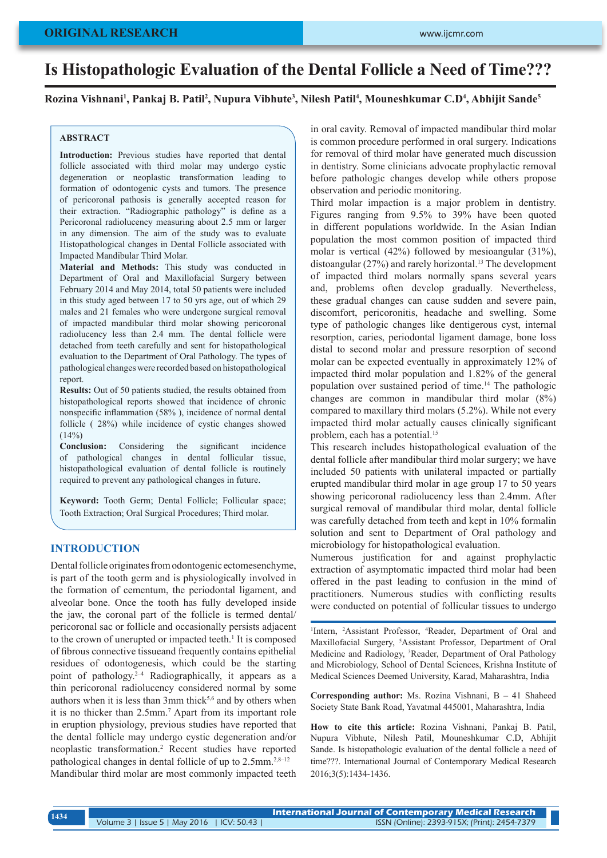# **Is Histopathologic Evaluation of the Dental Follicle a Need of Time???**

**Rozina Vishnani1 , Pankaj B. Patil2 , Nupura Vibhute3 , Nilesh Patil4 , Mouneshkumar C.D4 , Abhijit Sande5**

## **ABSTRACT**

**Introduction:** Previous studies have reported that dental follicle associated with third molar may undergo cystic degeneration or neoplastic transformation leading to formation of odontogenic cysts and tumors. The presence of pericoronal pathosis is generally accepted reason for their extraction. "Radiographic pathology" is define as a Pericoronal radiolucency measuring about 2.5 mm or larger in any dimension. The aim of the study was to evaluate Histopathological changes in Dental Follicle associated with Impacted Mandibular Third Molar.

**Material and Methods:** This study was conducted in Department of Oral and Maxillofacial Surgery between February 2014 and May 2014, total 50 patients were included in this study aged between 17 to 50 yrs age, out of which 29 males and 21 females who were undergone surgical removal of impacted mandibular third molar showing pericoronal radiolucency less than 2.4 mm. The dental follicle were detached from teeth carefully and sent for histopathological evaluation to the Department of Oral Pathology. The types of pathological changes were recorded based on histopathological report.

**Results:** Out of 50 patients studied, the results obtained from histopathological reports showed that incidence of chronic nonspecific inflammation (58% ), incidence of normal dental follicle ( 28%) while incidence of cystic changes showed  $(14%)$ 

**Conclusion:** Considering the significant incidence of pathological changes in dental follicular tissue, histopathological evaluation of dental follicle is routinely required to prevent any pathological changes in future.

**Keyword:** Tooth Germ; Dental Follicle; Follicular space; Tooth Extraction; Oral Surgical Procedures; Third molar.

#### **INTRODUCTION**

Dental follicle originates from odontogenic ectomesenchyme, is part of the tooth germ and is physiologically involved in the formation of cementum, the periodontal ligament, and alveolar bone. Once the tooth has fully developed inside the jaw, the coronal part of the follicle is termed dental/ pericoronal sac or follicle and occasionally persists adjacent to the crown of unerupted or impacted teeth. $<sup>1</sup>$  It is composed</sup> of fibrous connective tissueand frequently contains epithelial residues of odontogenesis, which could be the starting point of pathology.2–4 Radiographically, it appears as a thin pericoronal radiolucency considered normal by some authors when it is less than  $3mm$  thick<sup>5,6</sup> and by others when it is no thicker than 2.5mm.<sup>7</sup> Apart from its important role in eruption physiology, previous studies have reported that the dental follicle may undergo cystic degeneration and/or neoplastic transformation.2 Recent studies have reported pathological changes in dental follicle of up to 2.5mm.<sup>2,8–12</sup> Mandibular third molar are most commonly impacted teeth

in oral cavity. Removal of impacted mandibular third molar is common procedure performed in oral surgery. Indications for removal of third molar have generated much discussion in dentistry. Some clinicians advocate prophylactic removal before pathologic changes develop while others propose observation and periodic monitoring.

Third molar impaction is a major problem in dentistry. Figures ranging from 9.5% to 39% have been quoted in different populations worldwide. In the Asian Indian population the most common position of impacted third molar is vertical (42%) followed by mesioangular (31%), distoangular (27%) and rarely horizontal.13 The development of impacted third molars normally spans several years and, problems often develop gradually. Nevertheless, these gradual changes can cause sudden and severe pain, discomfort, pericoronitis, headache and swelling. Some type of pathologic changes like dentigerous cyst, internal resorption, caries, periodontal ligament damage, bone loss distal to second molar and pressure resorption of second molar can be expected eventually in approximately 12% of impacted third molar population and 1.82% of the general population over sustained period of time.14 The pathologic changes are common in mandibular third molar (8%) compared to maxillary third molars (5.2%). While not every impacted third molar actually causes clinically significant problem, each has a potential.15

This research includes histopathological evaluation of the dental follicle after mandibular third molar surgery; we have included 50 patients with unilateral impacted or partially erupted mandibular third molar in age group 17 to 50 years showing pericoronal radiolucency less than 2.4mm. After surgical removal of mandibular third molar, dental follicle was carefully detached from teeth and kept in 10% formalin solution and sent to Department of Oral pathology and microbiology for histopathological evaluation.

Numerous justification for and against prophylactic extraction of asymptomatic impacted third molar had been offered in the past leading to confusion in the mind of practitioners. Numerous studies with conflicting results were conducted on potential of follicular tissues to undergo

<sup>1</sup>Intern, <sup>2</sup>Assistant Professor, <sup>4</sup>Reader, Department of Oral and Maxillofacial Surgery, 5 Assistant Professor, Department of Oral Medicine and Radiology, 3 Reader, Department of Oral Pathology and Microbiology, School of Dental Sciences, Krishna Institute of Medical Sciences Deemed University, Karad, Maharashtra, India

**Corresponding author:** Ms. Rozina Vishnani, B – 41 Shaheed Society State Bank Road, Yavatmal 445001, Maharashtra, India

**How to cite this article:** Rozina Vishnani, Pankaj B. Patil, Nupura Vibhute, Nilesh Patil, Mouneshkumar C.D, Abhijit Sande. Is histopathologic evaluation of the dental follicle a need of time???. International Journal of Contemporary Medical Research 2016;3(5):1434-1436.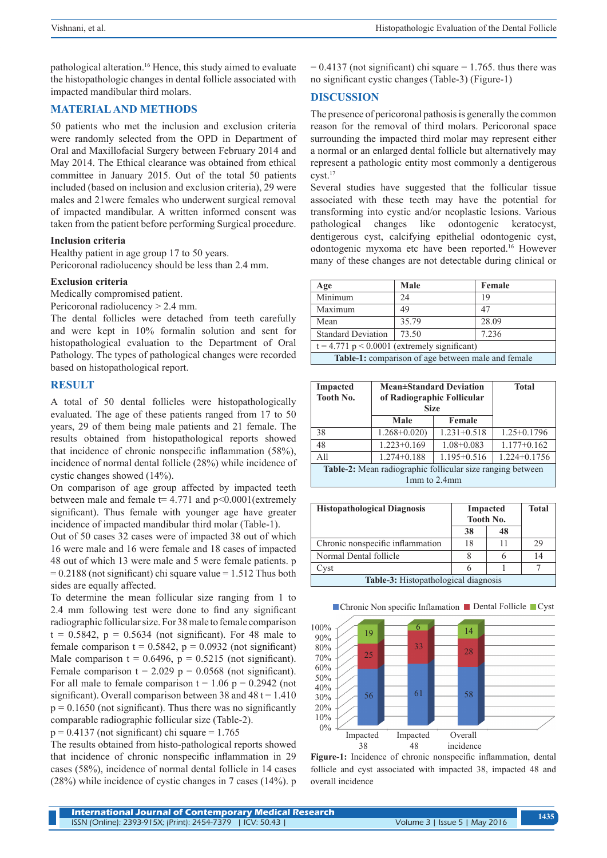pathological alteration.16 Hence, this study aimed to evaluate the histopathologic changes in dental follicle associated with impacted mandibular third molars.

# **MATERIAL AND METHODS**

50 patients who met the inclusion and exclusion criteria were randomly selected from the OPD in Department of Oral and Maxillofacial Surgery between February 2014 and May 2014. The Ethical clearance was obtained from ethical committee in January 2015. Out of the total 50 patients included (based on inclusion and exclusion criteria), 29 were males and 21were females who underwent surgical removal of impacted mandibular. A written informed consent was taken from the patient before performing Surgical procedure.

#### **Inclusion criteria**

Healthy patient in age group 17 to 50 years. Pericoronal radiolucency should be less than 2.4 mm.

#### **Exclusion criteria**

Medically compromised patient.

Pericoronal radiolucency > 2.4 mm.

The dental follicles were detached from teeth carefully and were kept in 10% formalin solution and sent for histopathological evaluation to the Department of Oral Pathology. The types of pathological changes were recorded based on histopathological report.

## **RESULT**

A total of 50 dental follicles were histopathologically evaluated. The age of these patients ranged from 17 to 50 years, 29 of them being male patients and 21 female. The results obtained from histopathological reports showed that incidence of chronic nonspecific inflammation (58%), incidence of normal dental follicle (28%) while incidence of cystic changes showed (14%).

On comparison of age group affected by impacted teeth between male and female  $t= 4.771$  and  $p<0.0001$  (extremely significant). Thus female with younger age have greater incidence of impacted mandibular third molar (Table-1).

Out of 50 cases 32 cases were of impacted 38 out of which 16 were male and 16 were female and 18 cases of impacted 48 out of which 13 were male and 5 were female patients. p  $= 0.2188$  (not significant) chi square value  $= 1.512$  Thus both sides are equally affected.

To determine the mean follicular size ranging from 1 to 2.4 mm following test were done to find any significant radiographic follicular size. For 38 male to female comparison  $t = 0.5842$ ,  $p = 0.5634$  (not significant). For 48 male to female comparison  $t = 0.5842$ ,  $p = 0.0932$  (not significant) Male comparison  $t = 0.6496$ ,  $p = 0.5215$  (not significant). Female comparison  $t = 2.029$  p = 0.0568 (not significant). For all male to female comparison  $t = 1.06$  p = 0.2942 (not significant). Overall comparison between 38 and  $48 t = 1.410$  $p = 0.1650$  (not significant). Thus there was no significantly comparable radiographic follicular size (Table-2).  $p = 0.4137$  (not significant) chi square = 1.765

The results obtained from histo-pathological reports showed that incidence of chronic nonspecific inflammation in 29 cases (58%), incidence of normal dental follicle in 14 cases (28%) while incidence of cystic changes in 7 cases (14%). p  $= 0.4137$  (not significant) chi square  $= 1.765$ . thus there was no significant cystic changes (Table-3) (Figure-1)

# **DISCUSSION**

The presence of pericoronal pathosis is generally the common reason for the removal of third molars. Pericoronal space surrounding the impacted third molar may represent either a normal or an enlarged dental follicle but alternatively may represent a pathologic entity most commonly a dentigerous cyst.17

Several studies have suggested that the follicular tissue associated with these teeth may have the potential for transforming into cystic and/or neoplastic lesions. Various pathological changes like odontogenic keratocyst, dentigerous cyst, calcifying epithelial odontogenic cyst, odontogenic myxoma etc have been reported.16 However many of these changes are not detectable during clinical or

| Age                                                | Male  | Female |  |  |  |
|----------------------------------------------------|-------|--------|--|--|--|
| Minimum                                            | 24    | 19     |  |  |  |
| Maximum                                            | 49    | 47     |  |  |  |
| Mean                                               | 35.79 | 28.09  |  |  |  |
| <b>Standard Deviation</b>                          | 73.50 | 7.236  |  |  |  |
| $t = 4.771$ p < 0.0001 (extremely significant)     |       |        |  |  |  |
| Table-1: comparison of age between male and female |       |        |  |  |  |

| <b>Impacted</b><br>Tooth No.                               | <b>Mean±Standard Deviation</b><br>of Radiographic Follicular<br><b>Size</b> |                 | <b>Total</b>     |  |  |
|------------------------------------------------------------|-----------------------------------------------------------------------------|-----------------|------------------|--|--|
|                                                            | Male                                                                        | Female          |                  |  |  |
| 38                                                         | $1.268 + 0.020$                                                             | $1.231 + 0.518$ | $1.25 + 0.1796$  |  |  |
| 48                                                         | $1.223 + 0.169$                                                             | $1.08 + 0.083$  | $1.177 + 0.162$  |  |  |
| A11                                                        | $1.274 + 0.188$                                                             | $1.195 + 0.516$ | $1.224 + 0.1756$ |  |  |
| Table-2: Mean radiographic follicular size ranging between |                                                                             |                 |                  |  |  |
| 1mm to 2.4mm                                               |                                                                             |                 |                  |  |  |

| <b>Histopathological Diagnosis</b>          | <b>Impacted</b><br>Tooth No. |    | Total |  |  |
|---------------------------------------------|------------------------------|----|-------|--|--|
|                                             | 38                           | 48 |       |  |  |
| Chronic nonspecific inflammation            | 18                           |    | 29    |  |  |
| Normal Dental follicle                      |                              |    | 14    |  |  |
| Cvst                                        |                              |    |       |  |  |
| <b>Table-3:</b> Histopathological diagnosis |                              |    |       |  |  |